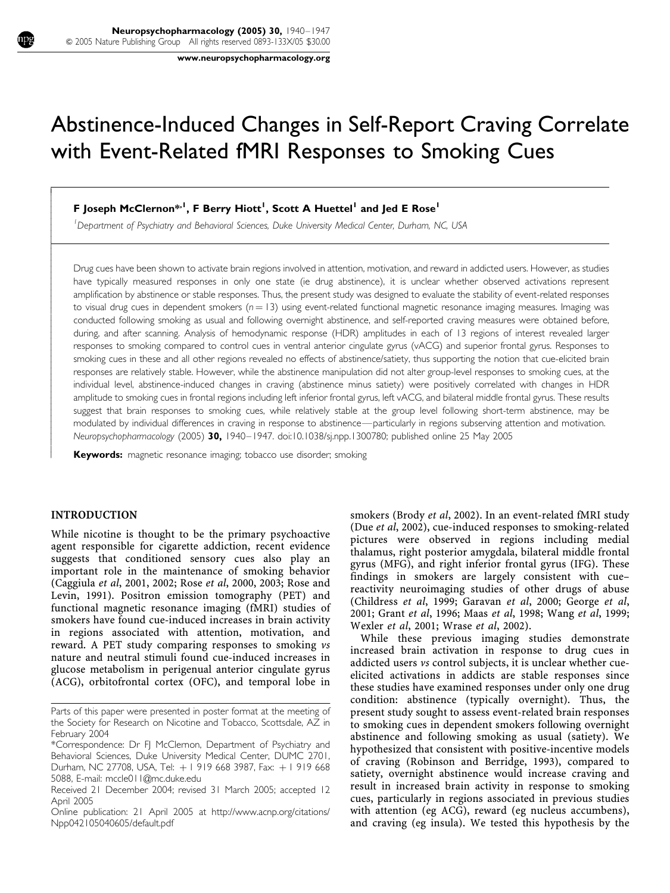www.neuropsychopharmacology.org

# Abstinence-Induced Changes in Self-Report Craving Correlate with Event-Related fMRI Responses to Smoking Cues

## F Joseph McClernon\*<sup>, I</sup>, F Berry Hiott<sup>1</sup>, Scott A Huettel<sup>1</sup> and Jed E Rose<sup>1</sup>

<sup>1</sup>Department of Psychiatry and Behavioral Sciences, Duke University Medical Center, Durham, NC, USA

Drug cues have been shown to activate brain regions involved in attention, motivation, and reward in addicted users. However, as studies have typically measured responses in only one state (ie drug abstinence), it is unclear whether observed activations represent amplification by abstinence or stable responses. Thus, the present study was designed to evaluate the stability of event-related responses to visual drug cues in dependent smokers ( $n = 13$ ) using event-related functional magnetic resonance imaging measures. Imaging was conducted following smoking as usual and following overnight abstinence, and self-reported craving measures were obtained before, during, and after scanning. Analysis of hemodynamic response (HDR) amplitudes in each of 13 regions of interest revealed larger responses to smoking compared to control cues in ventral anterior cingulate gyrus (vACG) and superior frontal gyrus. Responses to smoking cues in these and all other regions revealed no effects of abstinence/satiety, thus supporting the notion that cue-elicited brain responses are relatively stable. However, while the abstinence manipulation did not alter group-level responses to smoking cues, at the individual level, abstinence-induced changes in craving (abstinence minus satiety) were positively correlated with changes in HDR amplitude to smoking cues in frontal regions including left inferior frontal gyrus, left vACG, and bilateral middle frontal gyrus. These results suggest that brain responses to smoking cues, while relatively stable at the group level following short-term abstinence, may be modulated by individual differences in craving in response to abstinence—particularly in regions subserving attention and motivation. Neuropsychopharmacology (2005) 30, 1940–1947. doi:10.1038/sj.npp.1300780; published online 25 May 2005

Keywords: magnetic resonance imaging; tobacco use disorder; smoking

## INTRODUCTION

Í I I I I I ł ŀ ľ

I I I I I

I I I I ł

ł I I I I I

While nicotine is thought to be the primary psychoactive agent responsible for cigarette addiction, recent evidence suggests that conditioned sensory cues also play an important role in the maintenance of smoking behavior (Caggiula et al, 2001, 2002; Rose et al, 2000, 2003; Rose and Levin, 1991). Positron emission tomography (PET) and functional magnetic resonance imaging (fMRI) studies of smokers have found cue-induced increases in brain activity in regions associated with attention, motivation, and reward. A PET study comparing responses to smoking vs nature and neutral stimuli found cue-induced increases in glucose metabolism in perigenual anterior cingulate gyrus (ACG), orbitofrontal cortex (OFC), and temporal lobe in

smokers (Brody et al, 2002). In an event-related fMRI study (Due et al, 2002), cue-induced responses to smoking-related pictures were observed in regions including medial thalamus, right posterior amygdala, bilateral middle frontal gyrus (MFG), and right inferior frontal gyrus (IFG). These findings in smokers are largely consistent with cue– reactivity neuroimaging studies of other drugs of abuse (Childress et al, 1999; Garavan et al, 2000; George et al, 2001; Grant et al, 1996; Maas et al, 1998; Wang et al, 1999; Wexler et al, 2001; Wrase et al, 2002).

While these previous imaging studies demonstrate increased brain activation in response to drug cues in addicted users vs control subjects, it is unclear whether cueelicited activations in addicts are stable responses since these studies have examined responses under only one drug condition: abstinence (typically overnight). Thus, the present study sought to assess event-related brain responses to smoking cues in dependent smokers following overnight abstinence and following smoking as usual (satiety). We hypothesized that consistent with positive-incentive models of craving (Robinson and Berridge, 1993), compared to satiety, overnight abstinence would increase craving and result in increased brain activity in response to smoking cues, particularly in regions associated in previous studies with attention (eg ACG), reward (eg nucleus accumbens), and craving (eg insula). We tested this hypothesis by the

Parts of this paper were presented in poster format at the meeting of the Society for Research on Nicotine and Tobacco, Scottsdale, AZ in February 2004

<sup>\*</sup>Correspondence: Dr FJ McClernon, Department of Psychiatry and Behavioral Sciences, Duke University Medical Center, DUMC 2701, Durham, NC 27708, USA, Tel: + 1 919 668 3987, Fax: + 1 919 668 5088, E-mail: mccle011@mc.duke.edu

Received 21 December 2004; revised 31 March 2005; accepted 12 April 2005

Online publication: 21 April 2005 at http://www.acnp.org/citations/ Npp042105040605/default.pdf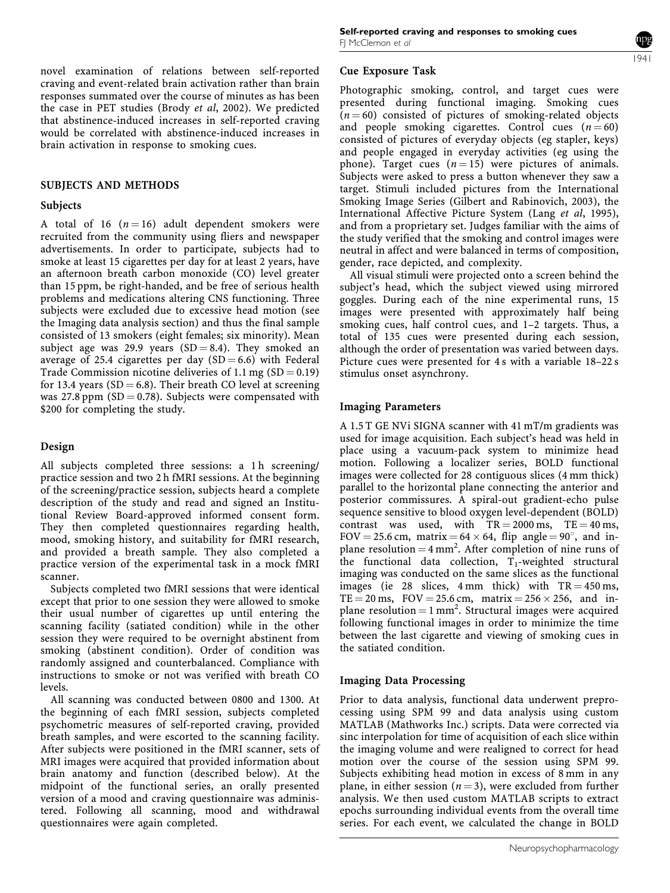novel examination of relations between self-reported craving and event-related brain activation rather than brain responses summated over the course of minutes as has been the case in PET studies (Brody et al, 2002). We predicted that abstinence-induced increases in self-reported craving would be correlated with abstinence-induced increases in brain activation in response to smoking cues.

## SUBJECTS AND METHODS

#### Subjects

A total of 16 ( $n = 16$ ) adult dependent smokers were recruited from the community using fliers and newspaper advertisements. In order to participate, subjects had to smoke at least 15 cigarettes per day for at least 2 years, have an afternoon breath carbon monoxide (CO) level greater than 15 ppm, be right-handed, and be free of serious health problems and medications altering CNS functioning. Three subjects were excluded due to excessive head motion (see the Imaging data analysis section) and thus the final sample consisted of 13 smokers (eight females; six minority). Mean subject age was 29.9 years  $(SD = 8.4)$ . They smoked an average of 25.4 cigarettes per day  $(SD = 6.6)$  with Federal Trade Commission nicotine deliveries of 1.1 mg  $(SD = 0.19)$ for 13.4 years (SD = 6.8). Their breath CO level at screening was 27.8 ppm (SD = 0.78). Subjects were compensated with \$200 for completing the study.

## Design

All subjects completed three sessions: a 1h screening/ practice session and two 2 h fMRI sessions. At the beginning of the screening/practice session, subjects heard a complete description of the study and read and signed an Institutional Review Board-approved informed consent form. They then completed questionnaires regarding health, mood, smoking history, and suitability for fMRI research, and provided a breath sample. They also completed a practice version of the experimental task in a mock fMRI scanner.

Subjects completed two fMRI sessions that were identical except that prior to one session they were allowed to smoke their usual number of cigarettes up until entering the scanning facility (satiated condition) while in the other session they were required to be overnight abstinent from smoking (abstinent condition). Order of condition was randomly assigned and counterbalanced. Compliance with instructions to smoke or not was verified with breath CO levels.

All scanning was conducted between 0800 and 1300. At the beginning of each fMRI session, subjects completed psychometric measures of self-reported craving, provided breath samples, and were escorted to the scanning facility. After subjects were positioned in the fMRI scanner, sets of MRI images were acquired that provided information about brain anatomy and function (described below). At the midpoint of the functional series, an orally presented version of a mood and craving questionnaire was administered. Following all scanning, mood and withdrawal questionnaires were again completed.

1941

## Cue Exposure Task

Photographic smoking, control, and target cues were presented during functional imaging. Smoking cues  $(n = 60)$  consisted of pictures of smoking-related objects and people smoking cigarettes. Control cues  $(n = 60)$ consisted of pictures of everyday objects (eg stapler, keys) and people engaged in everyday activities (eg using the phone). Target cues  $(n = 15)$  were pictures of animals. Subjects were asked to press a button whenever they saw a target. Stimuli included pictures from the International Smoking Image Series (Gilbert and Rabinovich, 2003), the International Affective Picture System (Lang et al, 1995), and from a proprietary set. Judges familiar with the aims of the study verified that the smoking and control images were neutral in affect and were balanced in terms of composition, gender, race depicted, and complexity.

All visual stimuli were projected onto a screen behind the subject's head, which the subject viewed using mirrored goggles. During each of the nine experimental runs, 15 images were presented with approximately half being smoking cues, half control cues, and 1–2 targets. Thus, a total of 135 cues were presented during each session, although the order of presentation was varied between days. Picture cues were presented for 4 s with a variable 18–22 s stimulus onset asynchrony.

## Imaging Parameters

A 1.5 T GE NVi SIGNA scanner with 41 mT/m gradients was used for image acquisition. Each subject's head was held in place using a vacuum-pack system to minimize head motion. Following a localizer series, BOLD functional images were collected for 28 contiguous slices (4 mm thick) parallel to the horizontal plane connecting the anterior and posterior commissures. A spiral-out gradient-echo pulse sequence sensitive to blood oxygen level-dependent (BOLD) contrast was used, with  $TR = 2000$  ms,  $TE = 40$  ms, FOV = 25.6 cm, matrix =  $64 \times 64$ , flip angle =  $90^{\circ}$ , and inplane resolution =  $4 \text{ mm}^2$ . After completion of nine runs of the functional data collection,  $T_1$ -weighted structural imaging was conducted on the same slices as the functional images (ie 28 slices, 4 mm thick) with  $TR = 450$  ms, TE = 20 ms, FOV = 25.6 cm, matrix =  $256 \times 256$ , and inplane resolution =  $1 \text{ mm}^2$ . Structural images were acquired following functional images in order to minimize the time between the last cigarette and viewing of smoking cues in the satiated condition.

#### Imaging Data Processing

Prior to data analysis, functional data underwent preprocessing using SPM 99 and data analysis using custom MATLAB (Mathworks Inc.) scripts. Data were corrected via sinc interpolation for time of acquisition of each slice within the imaging volume and were realigned to correct for head motion over the course of the session using SPM 99. Subjects exhibiting head motion in excess of 8 mm in any plane, in either session ( $n = 3$ ), were excluded from further analysis. We then used custom MATLAB scripts to extract epochs surrounding individual events from the overall time series. For each event, we calculated the change in BOLD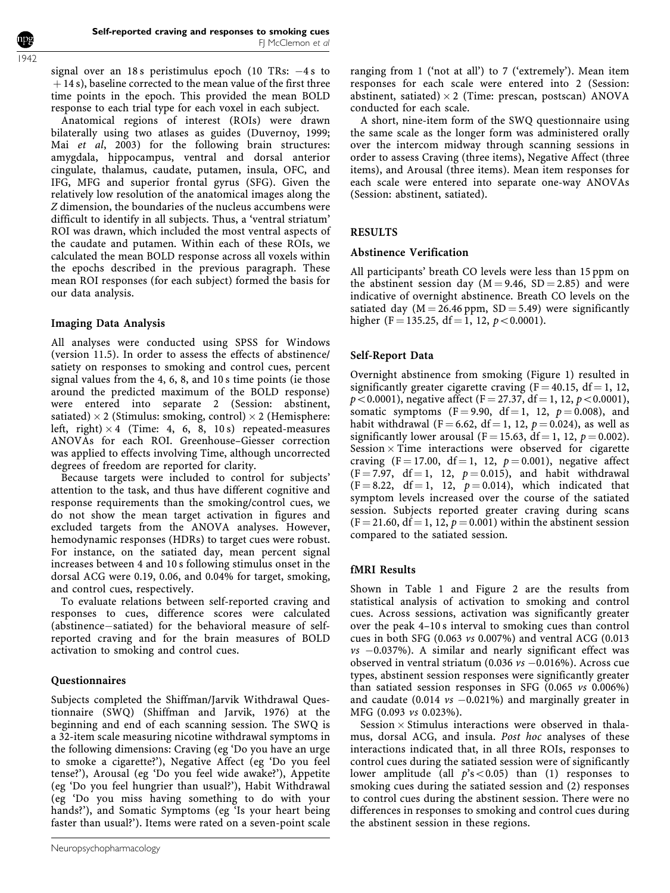signal over an 18 s peristimulus epoch (10 TRs:  $-4s$  to  $+14$  s), baseline corrected to the mean value of the first three time points in the epoch. This provided the mean BOLD response to each trial type for each voxel in each subject.

Anatomical regions of interest (ROIs) were drawn bilaterally using two atlases as guides (Duvernoy, 1999; Mai et al, 2003) for the following brain structures: amygdala, hippocampus, ventral and dorsal anterior cingulate, thalamus, caudate, putamen, insula, OFC, and IFG, MFG and superior frontal gyrus (SFG). Given the relatively low resolution of the anatomical images along the Z dimension, the boundaries of the nucleus accumbens were difficult to identify in all subjects. Thus, a 'ventral striatum' ROI was drawn, which included the most ventral aspects of the caudate and putamen. Within each of these ROIs, we calculated the mean BOLD response across all voxels within the epochs described in the previous paragraph. These mean ROI responses (for each subject) formed the basis for our data analysis.

## Imaging Data Analysis

All analyses were conducted using SPSS for Windows (version 11.5). In order to assess the effects of abstinence/ satiety on responses to smoking and control cues, percent signal values from the 4, 6, 8, and 10 s time points (ie those around the predicted maximum of the BOLD response) were entered into separate 2 (Session: abstinent, satiated)  $\times$  2 (Stimulus: smoking, control)  $\times$  2 (Hemisphere: left, right)  $\times$  4 (Time: 4, 6, 8, 10 s) repeated-measures ANOVAs for each ROI. Greenhouse–Giesser correction was applied to effects involving Time, although uncorrected degrees of freedom are reported for clarity.

Because targets were included to control for subjects' attention to the task, and thus have different cognitive and response requirements than the smoking/control cues, we do not show the mean target activation in figures and excluded targets from the ANOVA analyses. However, hemodynamic responses (HDRs) to target cues were robust. For instance, on the satiated day, mean percent signal increases between 4 and 10 s following stimulus onset in the dorsal ACG were 0.19, 0.06, and 0.04% for target, smoking, and control cues, respectively.

To evaluate relations between self-reported craving and responses to cues, difference scores were calculated (abstinence-satiated) for the behavioral measure of selfreported craving and for the brain measures of BOLD activation to smoking and control cues.

## Questionnaires

Subjects completed the Shiffman/Jarvik Withdrawal Questionnaire (SWQ) (Shiffman and Jarvik, 1976) at the beginning and end of each scanning session. The SWQ is a 32-item scale measuring nicotine withdrawal symptoms in the following dimensions: Craving (eg 'Do you have an urge to smoke a cigarette?'), Negative Affect (eg 'Do you feel tense?'), Arousal (eg 'Do you feel wide awake?'), Appetite (eg 'Do you feel hungrier than usual?'), Habit Withdrawal (eg 'Do you miss having something to do with your hands?'), and Somatic Symptoms (eg 'Is your heart being faster than usual?'). Items were rated on a seven-point scale ranging from 1 ('not at all') to 7 ('extremely'). Mean item responses for each scale were entered into 2 (Session: abstinent, satiated)  $\times$  2 (Time: prescan, postscan) ANOVA conducted for each scale.

A short, nine-item form of the SWQ questionnaire using the same scale as the longer form was administered orally over the intercom midway through scanning sessions in order to assess Craving (three items), Negative Affect (three items), and Arousal (three items). Mean item responses for each scale were entered into separate one-way ANOVAs (Session: abstinent, satiated).

## RESULTS

#### Abstinence Verification

All participants' breath CO levels were less than 15 ppm on the abstinent session day  $(M = 9.46, SD = 2.85)$  and were indicative of overnight abstinence. Breath CO levels on the satiated day ( $M = 26.46$  ppm,  $SD = 5.49$ ) were significantly higher (F = 135.25, df = 1, 12,  $p < 0.0001$ ).

#### Self-Report Data

Overnight abstinence from smoking (Figure 1) resulted in significantly greater cigarette craving ( $F = 40.15$ ,  $df = 1$ , 12,  $p < 0.0001$ ), negative affect (F = 27.37, df = 1, 12, p < 0.0001), somatic symptoms (F = 9.90, df = 1, 12,  $p = 0.008$ ), and habit withdrawal (F = 6.62, df = 1, 12,  $p = 0.024$ ), as well as significantly lower arousal (F = 15.63, df = 1, 12,  $p = 0.002$ ). Session  $\times$  Time interactions were observed for cigarette craving (F = 17.00, df = 1, 12,  $p = 0.001$ ), negative affect  $(F = 7.97, df = 1, 12, p = 0.015)$ , and habit withdrawal  $(F = 8.22, df = 1, 12, p = 0.014)$ , which indicated that symptom levels increased over the course of the satiated session. Subjects reported greater craving during scans  $(F = 21.60, df = 1, 12, p = 0.001)$  within the abstinent session compared to the satiated session.

#### fMRI Results

Shown in Table 1 and Figure 2 are the results from statistical analysis of activation to smoking and control cues. Across sessions, activation was significantly greater over the peak 4–10 s interval to smoking cues than control cues in both SFG (0.063 vs 0.007%) and ventral ACG (0.013  $vs$  -0.037%). A similar and nearly significant effect was observed in ventral striatum (0.036  $vs -0.016\%$ ). Across cue types, abstinent session responses were significantly greater than satiated session responses in SFG  $(0.065 \text{ vs } 0.006\%)$ and caudate (0.014  $vs -0.021\%$ ) and marginally greater in MFG (0.093 vs 0.023%).

Session  $\times$  Stimulus interactions were observed in thalamus, dorsal ACG, and insula. Post hoc analyses of these interactions indicated that, in all three ROIs, responses to control cues during the satiated session were of significantly lower amplitude (all  $p's < 0.05$ ) than (1) responses to smoking cues during the satiated session and (2) responses to control cues during the abstinent session. There were no differences in responses to smoking and control cues during the abstinent session in these regions.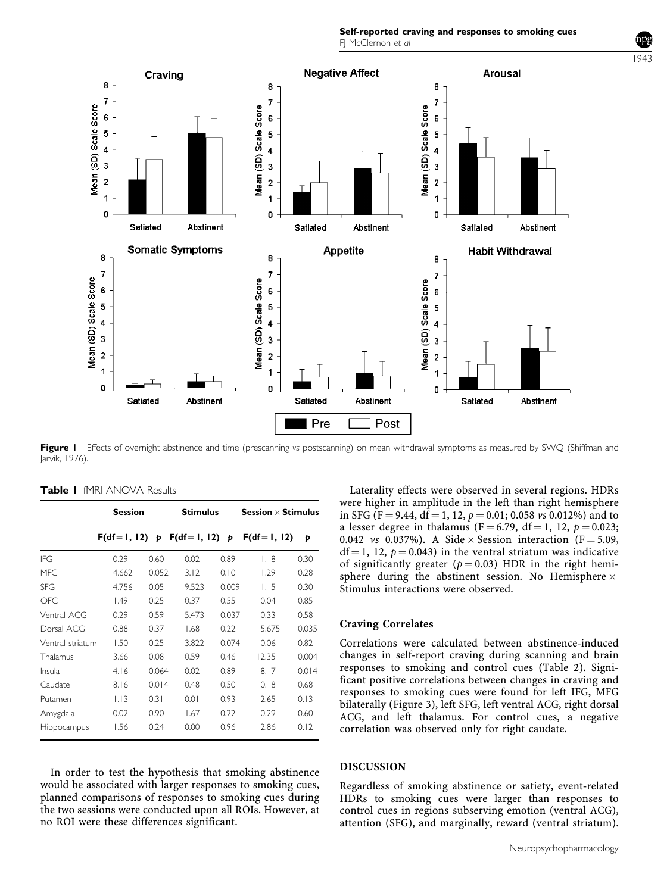Self-reported craving and responses to smoking cues FI McClernon et al

1943



Figure I Effects of overnight abstinence and time (prescanning vs postscanning) on mean withdrawal symptoms as measured by SWQ (Shiffman and Jarvik, 1976).

|                  | <b>Session</b> |       | <b>Stimulus</b> |       | Session $\times$ Stimulus |       |
|------------------|----------------|-------|-----------------|-------|---------------------------|-------|
|                  | $F(df=1, 12)$  | Þ     | $F(df=1, 12)$   | Þ     | $F(df=1, 12)$             | Þ     |
| IFG              | 0.29           | 0.60  | 0.02            | 0.89  | 1.18                      | 0.30  |
| <b>MFG</b>       | 4.662          | 0.052 | 3.12            | 0.10  | 1.79                      | 0.28  |
| <b>SFG</b>       | 4.756          | 0.05  | 9.523           | 0.009 | 1.15                      | 0.30  |
| OFC.             | 1.49           | 0.25  | 0.37            | 0.55  | 0.04                      | 0.85  |
| Ventral ACG      | 0.29           | 0.59  | 5.473           | 0.037 | 0.33                      | 0.58  |
| Dorsal ACG       | 0.88           | 0.37  | 1.68            | 0.22  | 5.675                     | 0.035 |
| Ventral striatum | 1.50           | 0.25  | 3.822           | 0.074 | 0.06                      | 0.82  |
| Thalamus         | 3.66           | 0.08  | 0.59            | 0.46  | 12.35                     | 0.004 |
| Insula           | 4.16           | 0.064 | 0.02            | 0.89  | 8.17                      | 0.014 |
| Caudate          | 8.16           | 0.014 | 0.48            | 0.50  | 0.181                     | 0.68  |
| Putamen          | 1.13           | 0.31  | 0.01            | 0.93  | 2.65                      | 0.13  |
| Amygdala         | 0.02           | 0.90  | 1.67            | 0.22  | 0.29                      | 0.60  |
| Hippocampus      | 1.56           | 0.24  | 0.00            | 0.96  | 2.86                      | 0.12  |

Table I fMRI ANOVA Results

In order to test the hypothesis that smoking abstinence would be associated with larger responses to smoking cues, planned comparisons of responses to smoking cues during the two sessions were conducted upon all ROIs. However, at no ROI were these differences significant.

Laterality effects were observed in several regions. HDRs were higher in amplitude in the left than right hemisphere in SFG (F = 9.44,  $d\bar{f} = 1$ , 12,  $p = 0.01$ ; 0.058 vs 0.012%) and to a lesser degree in thalamus (F = 6.79, df = 1, 12,  $p = 0.023$ ; 0.042 vs 0.037%). A Side  $\times$  Session interaction (F = 5.09,  $df = 1$ , 12,  $p = 0.043$ ) in the ventral striatum was indicative of significantly greater ( $p = 0.03$ ) HDR in the right hemisphere during the abstinent session. No Hemisphere  $\times$ Stimulus interactions were observed.

## Craving Correlates

Correlations were calculated between abstinence-induced changes in self-report craving during scanning and brain responses to smoking and control cues (Table 2). Significant positive correlations between changes in craving and responses to smoking cues were found for left IFG, MFG bilaterally (Figure 3), left SFG, left ventral ACG, right dorsal ACG, and left thalamus. For control cues, a negative correlation was observed only for right caudate.

#### DISCUSSION

Regardless of smoking abstinence or satiety, event-related HDRs to smoking cues were larger than responses to control cues in regions subserving emotion (ventral ACG), attention (SFG), and marginally, reward (ventral striatum).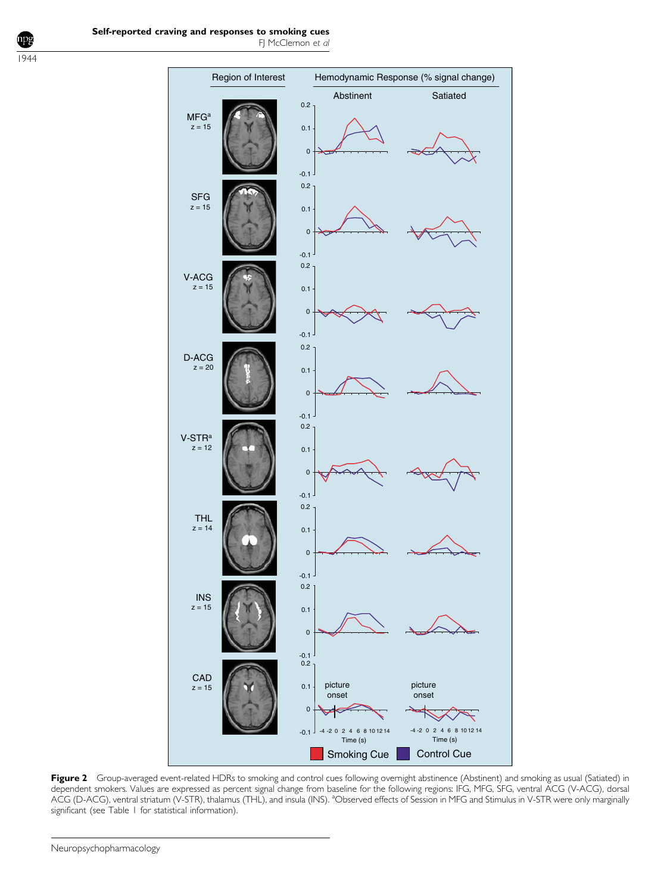

Figure 2 Group-averaged event-related HDRs to smoking and control cues following overnight abstinence (Abstinent) and smoking as usual (Satiated) in dependent smokers. Values are expressed as percent signal change from baseline for the following regions: IFG, MFG, SFG, ventral ACG (V-ACG), dorsal ACG (D-ACG), ventral striatum (V-STR), thalamus (THL), and insula (INS). <sup>a</sup>Observed effects of Session in MFG and Stimulus in V-STR were only marginally significant (see Table 1 for statistical information).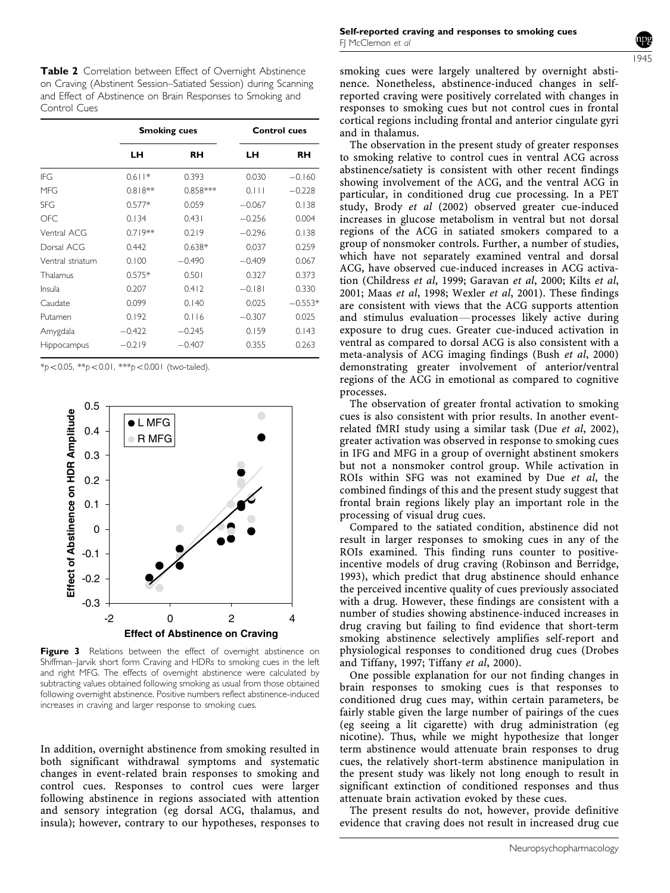Table 2 Correlation between Effect of Overnight Abstinence on Craving (Abstinent Session–Satiated Session) during Scanning and Effect of Abstinence on Brain Responses to Smoking and Control Cues

|                  |            | <b>Smoking cues</b> |          | <b>Control cues</b> |  |
|------------------|------------|---------------------|----------|---------------------|--|
|                  | LН         | <b>RH</b>           | LН       | <b>RH</b>           |  |
| IFG              | $0.611*$   | 0.393               | 0.030    | $-0.160$            |  |
| <b>MFG</b>       | $0.818**$  | 0.858***            | 0.111    | $-0.228$            |  |
| <b>SFG</b>       | $0.577*$   | 0.059               | $-0.067$ | 0.138               |  |
| OFC.             | 0.134      | 0.431               | $-0.256$ | 0.004               |  |
| Ventral ACG      | $0.719***$ | 0.219               | $-0.296$ | 0.138               |  |
| Dorsal ACG       | 0.442      | $0.638*$            | 0.037    | 0.259               |  |
| Ventral striatum | 0.100      | $-0.490$            | $-0.409$ | 0.067               |  |
| Thalamus         | $0.575*$   | 0.501               | 0.327    | 0.373               |  |
| Insula           | 0.207      | 0.412               | $-0.181$ | 0.330               |  |
| Caudate          | 0.099      | 0.140               | 0.025    | $-0.553*$           |  |
| Putamen          | 0.192      | 0.116               | $-0.307$ | 0.025               |  |
| Amygdala         | $-0.422$   | $-0.245$            | 0.159    | 0.143               |  |
| Hippocampus      | $-0.219$   | $-0.407$            | 0.355    | 0.263               |  |

 $*p$ <0.05,  $*p$ <0.01,  $**p$ <0.001 (two-tailed)



Figure 3 Relations between the effect of overnight abstinence on Shiffman–Jarvik short form Craving and HDRs to smoking cues in the left and right MFG. The effects of overnight abstinence were calculated by subtracting values obtained following smoking as usual from those obtained following overnight abstinence. Positive numbers reflect abstinence-induced increases in craving and larger response to smoking cues.

In addition, overnight abstinence from smoking resulted in both significant withdrawal symptoms and systematic changes in event-related brain responses to smoking and control cues. Responses to control cues were larger following abstinence in regions associated with attention and sensory integration (eg dorsal ACG, thalamus, and insula); however, contrary to our hypotheses, responses to smoking cues were largely unaltered by overnight abstinence. Nonetheless, abstinence-induced changes in selfreported craving were positively correlated with changes in responses to smoking cues but not control cues in frontal cortical regions including frontal and anterior cingulate gyri and in thalamus.

The observation in the present study of greater responses to smoking relative to control cues in ventral ACG across abstinence/satiety is consistent with other recent findings showing involvement of the ACG, and the ventral ACG in particular, in conditioned drug cue processing. In a PET study, Brody et al (2002) observed greater cue-induced increases in glucose metabolism in ventral but not dorsal regions of the ACG in satiated smokers compared to a group of nonsmoker controls. Further, a number of studies, which have not separately examined ventral and dorsal ACG, have observed cue-induced increases in ACG activation (Childress et al, 1999; Garavan et al, 2000; Kilts et al, 2001; Maas et al, 1998; Wexler et al, 2001). These findings are consistent with views that the ACG supports attention and stimulus evaluation-processes likely active during exposure to drug cues. Greater cue-induced activation in ventral as compared to dorsal ACG is also consistent with a meta-analysis of ACG imaging findings (Bush et al, 2000) demonstrating greater involvement of anterior/ventral regions of the ACG in emotional as compared to cognitive processes.

The observation of greater frontal activation to smoking cues is also consistent with prior results. In another eventrelated fMRI study using a similar task (Due et al, 2002), greater activation was observed in response to smoking cues in IFG and MFG in a group of overnight abstinent smokers but not a nonsmoker control group. While activation in ROIs within SFG was not examined by Due et al, the combined findings of this and the present study suggest that frontal brain regions likely play an important role in the processing of visual drug cues.

Compared to the satiated condition, abstinence did not result in larger responses to smoking cues in any of the ROIs examined. This finding runs counter to positiveincentive models of drug craving (Robinson and Berridge, 1993), which predict that drug abstinence should enhance the perceived incentive quality of cues previously associated with a drug. However, these findings are consistent with a number of studies showing abstinence-induced increases in drug craving but failing to find evidence that short-term smoking abstinence selectively amplifies self-report and physiological responses to conditioned drug cues (Drobes and Tiffany, 1997; Tiffany et al, 2000).

One possible explanation for our not finding changes in brain responses to smoking cues is that responses to conditioned drug cues may, within certain parameters, be fairly stable given the large number of pairings of the cues (eg seeing a lit cigarette) with drug administration (eg nicotine). Thus, while we might hypothesize that longer term abstinence would attenuate brain responses to drug cues, the relatively short-term abstinence manipulation in the present study was likely not long enough to result in significant extinction of conditioned responses and thus attenuate brain activation evoked by these cues.

The present results do not, however, provide definitive evidence that craving does not result in increased drug cue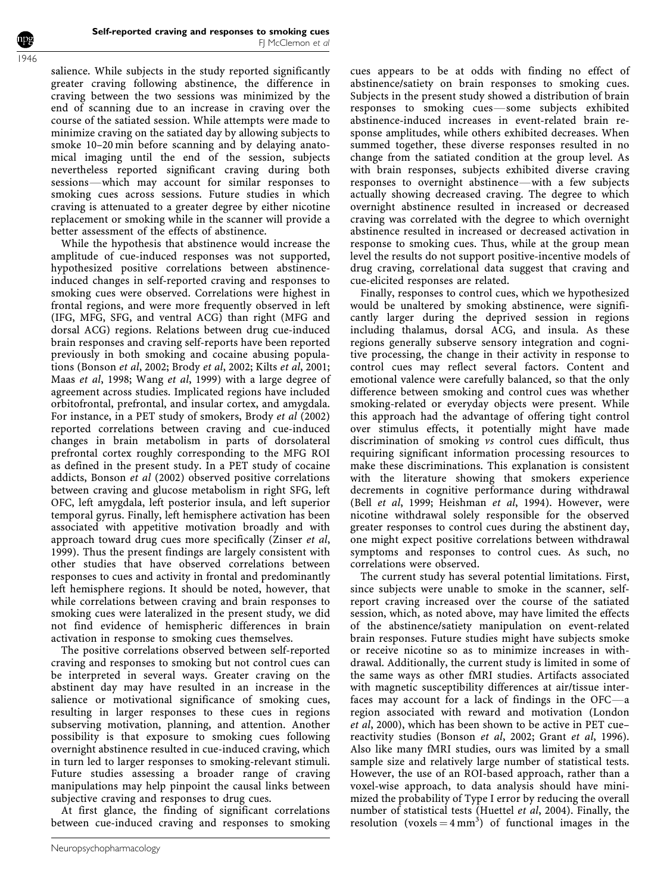salience. While subjects in the study reported significantly greater craving following abstinence, the difference in craving between the two sessions was minimized by the end of scanning due to an increase in craving over the course of the satiated session. While attempts were made to minimize craving on the satiated day by allowing subjects to smoke 10–20 min before scanning and by delaying anatomical imaging until the end of the session, subjects nevertheless reported significant craving during both sessions-which may account for similar responses to smoking cues across sessions. Future studies in which craving is attenuated to a greater degree by either nicotine replacement or smoking while in the scanner will provide a better assessment of the effects of abstinence.

While the hypothesis that abstinence would increase the amplitude of cue-induced responses was not supported, hypothesized positive correlations between abstinenceinduced changes in self-reported craving and responses to smoking cues were observed. Correlations were highest in frontal regions, and were more frequently observed in left (IFG, MFG, SFG, and ventral ACG) than right (MFG and dorsal ACG) regions. Relations between drug cue-induced brain responses and craving self-reports have been reported previously in both smoking and cocaine abusing populations (Bonson et al, 2002; Brody et al, 2002; Kilts et al, 2001; Maas et al, 1998; Wang et al, 1999) with a large degree of agreement across studies. Implicated regions have included orbitofrontal, prefrontal, and insular cortex, and amygdala. For instance, in a PET study of smokers, Brody et al (2002) reported correlations between craving and cue-induced changes in brain metabolism in parts of dorsolateral prefrontal cortex roughly corresponding to the MFG ROI as defined in the present study. In a PET study of cocaine addicts, Bonson et al (2002) observed positive correlations between craving and glucose metabolism in right SFG, left OFC, left amygdala, left posterior insula, and left superior temporal gyrus. Finally, left hemisphere activation has been associated with appetitive motivation broadly and with approach toward drug cues more specifically (Zinser et al, 1999). Thus the present findings are largely consistent with other studies that have observed correlations between responses to cues and activity in frontal and predominantly left hemisphere regions. It should be noted, however, that while correlations between craving and brain responses to smoking cues were lateralized in the present study, we did not find evidence of hemispheric differences in brain activation in response to smoking cues themselves.

The positive correlations observed between self-reported craving and responses to smoking but not control cues can be interpreted in several ways. Greater craving on the abstinent day may have resulted in an increase in the salience or motivational significance of smoking cues, resulting in larger responses to these cues in regions subserving motivation, planning, and attention. Another possibility is that exposure to smoking cues following overnight abstinence resulted in cue-induced craving, which in turn led to larger responses to smoking-relevant stimuli. Future studies assessing a broader range of craving manipulations may help pinpoint the causal links between subjective craving and responses to drug cues.

At first glance, the finding of significant correlations between cue-induced craving and responses to smoking cues appears to be at odds with finding no effect of abstinence/satiety on brain responses to smoking cues. Subjects in the present study showed a distribution of brain responses to smoking cues-some subjects exhibited abstinence-induced increases in event-related brain response amplitudes, while others exhibited decreases. When summed together, these diverse responses resulted in no change from the satiated condition at the group level. As with brain responses, subjects exhibited diverse craving responses to overnight abstinence-with a few subjects actually showing decreased craving. The degree to which overnight abstinence resulted in increased or decreased craving was correlated with the degree to which overnight abstinence resulted in increased or decreased activation in response to smoking cues. Thus, while at the group mean level the results do not support positive-incentive models of drug craving, correlational data suggest that craving and cue-elicited responses are related.

Finally, responses to control cues, which we hypothesized would be unaltered by smoking abstinence, were significantly larger during the deprived session in regions including thalamus, dorsal ACG, and insula. As these regions generally subserve sensory integration and cognitive processing, the change in their activity in response to control cues may reflect several factors. Content and emotional valence were carefully balanced, so that the only difference between smoking and control cues was whether smoking-related or everyday objects were present. While this approach had the advantage of offering tight control over stimulus effects, it potentially might have made discrimination of smoking vs control cues difficult, thus requiring significant information processing resources to make these discriminations. This explanation is consistent with the literature showing that smokers experience decrements in cognitive performance during withdrawal (Bell et al, 1999; Heishman et al, 1994). However, were nicotine withdrawal solely responsible for the observed greater responses to control cues during the abstinent day, one might expect positive correlations between withdrawal symptoms and responses to control cues. As such, no correlations were observed.

The current study has several potential limitations. First, since subjects were unable to smoke in the scanner, selfreport craving increased over the course of the satiated session, which, as noted above, may have limited the effects of the abstinence/satiety manipulation on event-related brain responses. Future studies might have subjects smoke or receive nicotine so as to minimize increases in withdrawal. Additionally, the current study is limited in some of the same ways as other fMRI studies. Artifacts associated with magnetic susceptibility differences at air/tissue interfaces may account for a lack of findings in the  $OFC-a$ region associated with reward and motivation (London et al, 2000), which has been shown to be active in PET cue– reactivity studies (Bonson et al, 2002; Grant et al, 1996). Also like many fMRI studies, ours was limited by a small sample size and relatively large number of statistical tests. However, the use of an ROI-based approach, rather than a voxel-wise approach, to data analysis should have minimized the probability of Type I error by reducing the overall number of statistical tests (Huettel et al, 2004). Finally, the resolution (voxels =  $4 \text{ mm}^3$ ) of functional images in the

1946